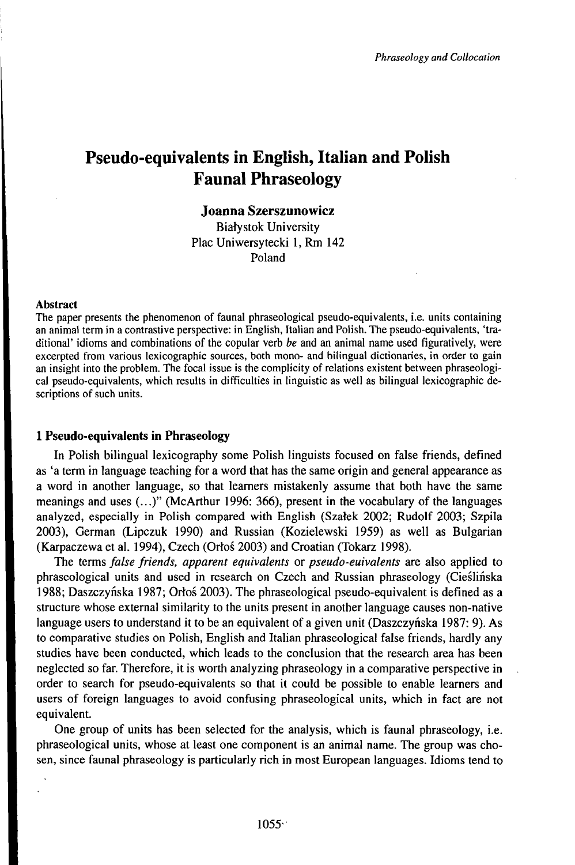# Pseudo-equivalents in English, Italian and Polish Faunal Phraseology

#### **Joanna Szerszunowicz**

Biafystok University Plac Uniwersytecki 1, Rm 142 Poland

#### Abstract

The paper presents the phenomenon of faunal phraseological pseudo-equivalents, i.e. units containing an animal term in a contrastive perspective: in English, Italian and Polish. The pseudo-equivalents, 'traditional' idioms and combinations of the copular verb *be* and an animal name used figuratively, were excerpted from various lexicographic sources, both mono- and bilingual dictionaries, in order to gain an insight into the problem. The focal issue is the complicity of relations existent between phraseological pseudo-equivalents, which results in difficulties in linguistic as well as bilingual lexicographic descriptions of such units.

#### **1 Pseudo-equivalents in Phraseology**

In Polish bilingual lexicography some Polish linguists focused on false friends, defined as 'a term in language teaching for a word that has the same origin and general appearance as a word in another language, so that learners mistakenly assume that both have the same meanings and uses (...)" (McArthur 1996: 366), present in the vocabulary of the languages analyzed, especially in Polish compared with English (Szatek 2002; Rudolf 2003; Szpila 2003), German (Lipczuk 1990) and Russian (Kozielewski 1959) as well as Bulgarian (Karpaczewa et al. 1994), Czech (Orłoś 2003) and Croatian (Tokarz 1998).

The terms *false friends, apparent equivalents* or *pseudo-euivalents* are also applied to phraseological units and used in research on Czech and Russian phraseology (Cieślińska 1988; Daszczyńska 1987; Orłoś 2003). The phraseological pseudo-equivalent is defined as <sup>a</sup> structure whose external similarity to the units present in another language causes non-native language users to understand it to be an equivalent of <sup>a</sup> given unit (Daszczyńska 1987: 9). As to comparative studies on Polish, English and Italian phraseological false friends, hardly any studies have been conducted, which leads to the conclusion that the research area has been neglected so far. Therefore, it is worth analyzing phraseology in a comparative perspective in order to search for pseudo-equivalents so that it could be possible to enable learners and users of foreign languages to avoid confusing phraseological units, which in fact are not equivalent.

One group of units has been selected for the analysis, which is faunal phraseology, i.e. phraseological units, whose at least one component is an animal name. The group was chosen, since faunal phraseology is particularly rich in most European languages. Idioms tend to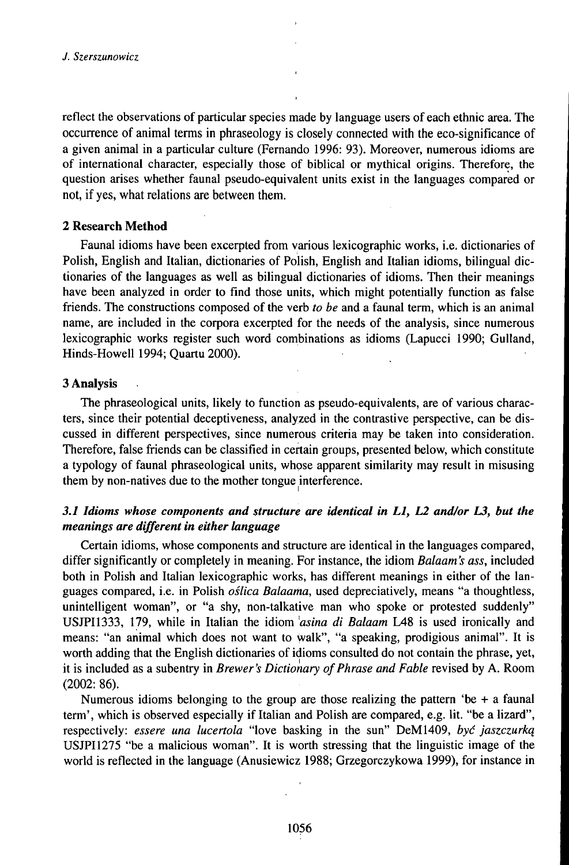reflect the observations of particular species made by language users of each ethnic area. The occurrence of animal terms in phraseology is closely connected with the eco-significance of a given animal in a particular culture (Fernando 1996: 93). Moreover, numerous idioms are of international character, especially those of biblical or mythical origins. Therefore, the question arises whether faunal pseudo-equivalent units exist in the languages compared or not, if yes, what relations are between them.

### **2 Research Method**

Faunal idioms have been excerpted from various lexicographic works, i.e. dictionaries of Polish, English and Italian, dictionaries of Polish, English and Italian idioms, bilingual dictionaries of the languages as well as bilingual dictionaries of idioms. Then their meanings have been analyzed in order to find those units, which might potentially function as false friends. The constructions composed of the verb *to be* and a faunal term, which is an animal name, are included in the corpora excerpted for the needs of the analysis, since numerous lexicographic works register such word combinations as idioms (Lapucci 1990; Gulland, Hinds-Howell 1994; Quartu 2000).

### **3 Analysis**

The phraseological units, likely to function as pseudo-equivalents, are of various characters, since their potential deceptiveness, analyzed in the contrastive perspective, can be discussed in different perspectives, since numerous criteria may be taken into consideration. Therefore, false friends can be classified in certain groups, presented below, which constitute a typology of faunal phraseological units, whose apparent similarity may result in misusing them by non-natives due to the mother tongue interference.

## *3.1 Idioms whose components and structure are identical in L1, L2 and/or L3, but the meanings* are different in either language

Certain idioms, whose components and structure are identical in the languages compared, differ significantly or completely in meaning. For instance, the idiom *Balaam's ass,* included both in Polish and Italian lexicographic works, has different meanings in either of the languages compared, i.e. in Polish *oślica Balaama,* used depreciatively, means "a thoughtless, unintelligent woman", or "a shy, non-talkative man who spoke or protested suddenly" USJPI1333, 179, while in Italian the idiom *'asina di Balaam* L48 is used ironically and means: "an animal which does not want to walk", "a speaking, prodigious animal". It is worth adding that the English dictionaries of idioms consulted do not contain the phrase, yet, it is included as a subentry in *Brewer's Dictionary ofPhrase and Fable* revised by A. Room (2002: 86).

Numerous idioms belonging to the group are those realizing the pattern 'be  $+$  a faunal term', which is observed especially ifItalian and Polish are compared, e.g. lit. "be a lizard", respectively: *essere una lucertola* "love basking in the sun" DeM1409, *być jaszczurką* USJPI1275 "be a malicious woman". It is worth stressing that the linguistic image of the world is reflected in the language (Anusiewicz 1988; Grzegorczykowa 1999), for instance in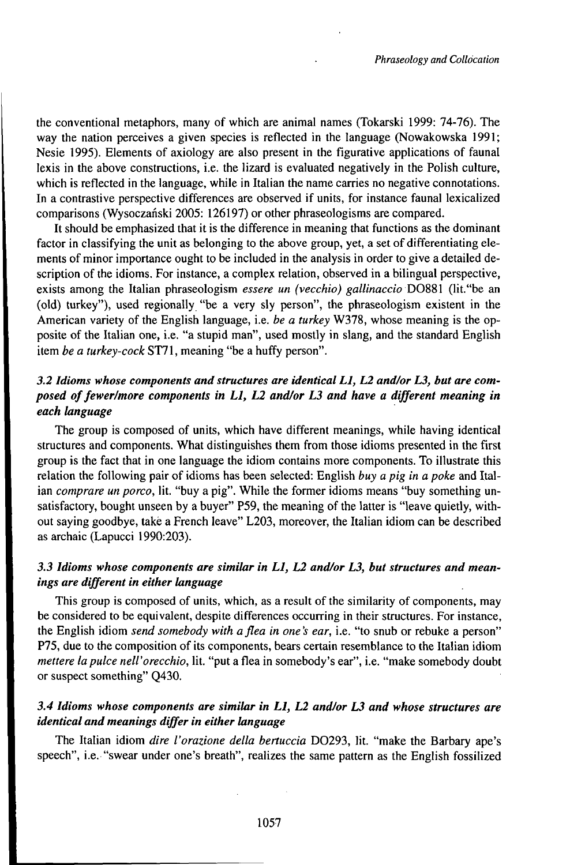the conventional metaphors, many of which are animal names (Tokarski 1999: 74-76). The way the nation perceives a given species is reflected in the language (Nowakowska 1991; Nesie 1995). Elements of axiology are also present in the figurative applications of faunal lexis in the above constructions, i.e. the lizard is evaluated negatively in the Polish culture, which is reflected in the language, while in Italian the name carries no negative connotations. In a contrastive perspective differences are observed if units, for instance faunal lexicalized comparisons (Wysoczański 2005: 126197) or other phraseologisms are compared.

It should be emphasized that it is the difference in meaning that functions as the dominant factor in classifying the unit as belonging to the above group, yet, a set of differentiating elements of minor importance ought to be included in the analysis in order to give a detailed description of the idioms. For instance, a complex relation, observed in a bilingual perspective, exists among the Italian phraseologism *essere un (vecchio) gallinaccioD088i* (lit."be an (old) turkey"), used regionally "be a very sly person", the phraseologism existent in the American variety of the English language, i.e. *be a turkey* W378, whose meaning is the opposite of the Italian one, i.e. "a stupid man", used mostly in slang, and the standard English item *be a turkey-cock* ST71, meaning "be a huffy person".

# *3.2 Idioms whose components and structures are identical L1, L2 and/or L3, but are composed offewer/more components in L1, L2 and/or L3 and have a different meaning in each Umguage*

The group is composed of units, which have different meanings, while having identical structures and components. What distinguishes them from those idioms presented in the first group is the fact that in one language the idiom contains more components. To illustrate this relation the following pair of idioms has been selected: English *buy a pig in a poke* and Italian *comprare un porco,* lit. "buy a pig". While the former idioms means "buy something unsatisfactory, bought unseen by a buyer" P59, the meaning of the latter is "leave quietly, without saying goodbye, take a French leave" L203, moreover, the Italian idiom can be described as archaic (Lapucci 1990:203).

### *3.3 Idioms whose components are simihr in L1, L2 and/or L3, but structures and meanings* are *different* in *either language*

This group is composed of units, which, as a result of the similarity of components, may be considered to be equivalent, despite differences occurring in their structures. For instance, the English idiom *send somebody with aflea in one's ear,* i.e. "to snub or rebuke a person" P75, due to the composition of its components, bears certain resemblance to the Italian idiom *mettere lapulce nell'orecchio,* lit. "put a flea in somebody's ear", i.e. "make somebody doubt or suspect something" Q430.

### *3.4 Idioms whose components are simüar in LI, L2 and/or L3 and whose structures are identical and meanings differ in either Umguage*

The Italian idiom *dire l'orazione della bertuccia* D0293, lit. "make the Barbary ape's speech", i.e. "swear under one's breath", realizes the same pattern as the English fossilized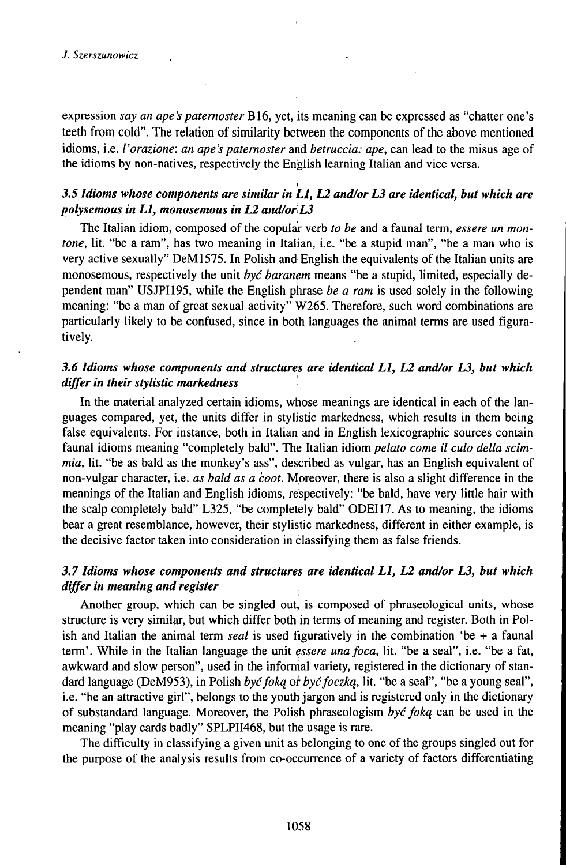expression *say an ape's paternoster* B16, yet, its meaning can be expressed as "chatter one's teeth from cold". The relation of similarity between the components of the above mentioned idioms, i.e. *l'orazione: an ape's paternoster* and *betruccia: ape,* can lead to the misus age of the idioms by non-natives, respectively the English learning Italian and vice versa.

# i *3.5 Idioms whose components are simiiar in LI, L2 and/or L3 are identical, but which are polysemous in L1, monosemous in L2 and/orL3*

The Italian idiom, composed of the copular verb *to be* and a faunal term, *essere un montone,* lit. "be a ram", has two meaning in Italian, i.e. "be a stupid man", "be a man who is very active sexually" DeM1575. In Polish and English the equivalents of the Italian units are monosemous, respectively the unit *być baranem* means "be a stupid, limited, especially dependent man" USJPI195, while the English phrase *be a ram* is used solely in the following meaning: "be a man of great sexual activity" W265. Therefore, such word combinations are particularly likely to be confused, since in both languages the animal terms are used figuratively.

### *3.6 Idioms whose components and structures are identical L1, L2 and/or L3, but which differ in their stylistic markedness* '

In the material analyzed certain idioms, whose meanings are identical in each of the languages compared, yet, the units differ in stylistic markedness, which results in them being false equivalents. For instance, both in Italian and in English lexicographic sources contain faunal idioms meaning "completely bald". The Italian idiom *pelato come il culo della scimmia,* lit. "be as bald as the monkey's ass", described as vulgar, has an English equivalent of non-vulgar character, i.e. *as bald as a coot.* Moreover, there is also a slight difference in the meanings of the Italian and English idioms, respectively: "be bald, have very little hair with the scalp completely bald" L325, "be completely bald" ODEI17. As to meaning, the idioms bear a great resemblance, however, their stylistic markedness, different in either example, is the decisive factor taken into consideration in classifying them as false friends.

### *3.7 Idioms whose components and structures are identical L1, L2 and/or L3, but which differ in meaning and register*

Another group, which can be singled out, is composed of phraseological units, whose structure is very similar, but which differ both in terms of meaning and register. Both in Polish and Italian the animal term *seal* is used figuratively in the combination 'be + a faunal term'. While in the Italian language the unit *essere unafoca,* lit. "be a seal", i.e. "be a fat, awkward and slow person", used in the informal variety, registered in the dictionary of standard language (DeM953), in Polish *byćfoką* or *byćfoczką,* lit. "be a seal", "be a young seal", i.e. "be an attractive girl", belongs to the youth jargon and is registered only in the dictionary of substandard language. Moreover, the Polish phraseologism być foką can be used in the meaning "play cards badly" SPLPII468, but the usage is rare.

The difficulty in classifying a given unit asbelonging to one of the groups singled out for the purpose of the analysis results from co-occurrence of a variety of factors differentiating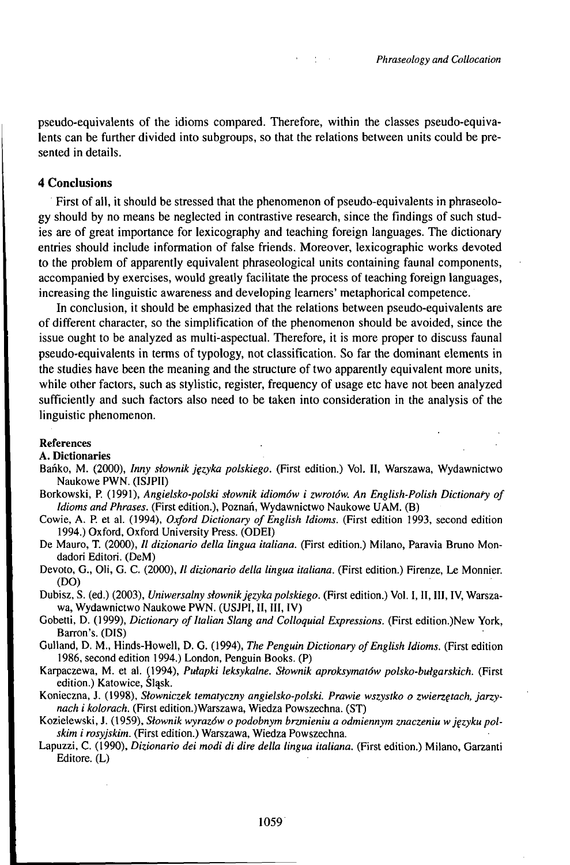pseudo-equivalents of the idioms compared. Therefore, within the classes pseudo-equivalents can be further divided into subgroups, so that the relations between units could be presented in details.

 $\mathcal{L}^{\mathcal{L}}(\mathbf{X})$  and  $\mathcal{L}^{\mathcal{L}}(\mathbf{X})$  and

#### 4 Conclusions

First of all, it should be stressed that the phenomenon of pseudo-equivalents in phraseology should by no means be neglected in contrastive research, since the findings of such studies are of great importance for lexicography and teaching foreign languages. The dictionary entries should include information of false friends. Moreover, lexicographic works devoted to the problem of apparently equivalent phraseological units containing faunal components, accompanied by exercises, would greatly facilitate the process of teaching foreign languages, increasing the linguistic awareness and developing learners' metaphorical competence.

In conclusion, it should be emphasized that the relations between pseudo-equivalents are of different character, so the simplification of the phenomenon should be avoided, since the issue ought to be analyzed as multi-aspectual. Therefore, it is more proper to discuss faunal pseudo-equivalents in terms of typology, not classification. So far the dominant elements in the studies have been the meaning and the structure of two apparently equivalent more units, while other factors, such as stylistic, register, frequency of usage etc have not been analyzed sufficiently and such factors also need to be taken into consideration in the analysis of the linguistic phenomenon.

#### References

A. Dictionaries

- Bańko, M. (2000), *Inny słownik języka polskiego.* (First edition.) Vol. II, Warszawa, Wydawnictwo Naukowe PWN. (ISJPII)
- Borkowski, P. (1991), *Angielsko-polski słownik idiomów i zwrotów. An English-Polish Dictionary of Idioms and Phrases.* (First edition.), Poznań, Wydawnictwo Naukowe UAM. (B)
- Cowie, A. P. et al. (1994), *Oxford Dictionary of English Idioms*. (First edition 1993, second edition 1994.) Oxford, Oxford University Press. (ODEI)
- De Mauro, T. (2000), *II dizionario della lingua italiana.* (First edition.) Milano, Paravia Bruno Mondadori Editori. (DeM)
- Devoto, G., Oli, G. C. (2000), *Il dizionario della lingua italiana*. (First edition.) Firenze, Le Monnier. (DO)
- Dubisz, S. (ed.) (2003), *Uniwersalny słownik języka polskiego*. (First edition.) Vol. I, II, III, IV, Warszawa, Wydawnictwo Naukowe PWN. (USJPI, II, III, IV)
- Gobetti, D. (1999), *Dictionary of Italian Slang and Colloquial Expressions.* (First edition.)New York, Barron's. (DIS)
- Gulland, D. M., Hinds-Howell, D. G. (1994), *The Penguin Dictionary of English Idioms*. (First edition 1986, second edition 1994.) London, Penguin Books. (P)
- Karpaczewa, M. et aI. (1994), *Pułapki leksykalne. Słownik aproksymatów polsko-bułgarskich.* (First edition.) Katowice, Śląsk.
- Konieczna, J. (1998), *Słowniczek tematyczny angielsko-polski. Prawie wszystko o zwierzętach, jarzynach i kolorach.* (First edition.)Warszawa, Wiedza Powszechna. (ST)
- KozieIewski, J. (1959), *Słownik wyrazówopodobnym brzmieniu a odmiennym znaczeniu wjęzykupolskim i rosyjskim.* (First edition.) Warszawa, Wiedza Powszechna.
- Lapuzzi, C. (1990), *Dizionario dei modi di dire della lingua italiana.* (First edition.) Milano, Garzanti Editore. (L)